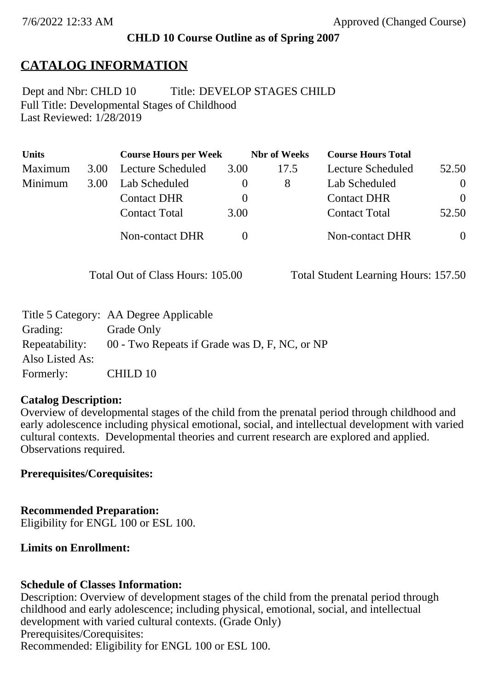## **CHLD 10 Course Outline as of Spring 2007**

# **CATALOG INFORMATION**

Full Title: Developmental Stages of Childhood Last Reviewed: 1/28/2019 Dept and Nbr: CHLD 10 Title: DEVELOP STAGES CHILD

| <b>Units</b> |      | <b>Course Hours per Week</b> |          | <b>Nbr</b> of Weeks | <b>Course Hours Total</b> |                |
|--------------|------|------------------------------|----------|---------------------|---------------------------|----------------|
| Maximum      | 3.00 | Lecture Scheduled            | 3.00     | 17.5                | Lecture Scheduled         | 52.50          |
| Minimum      | 3.00 | Lab Scheduled                | $\theta$ | 8                   | Lab Scheduled             | $\theta$       |
|              |      | <b>Contact DHR</b>           | $\theta$ |                     | <b>Contact DHR</b>        | $\Omega$       |
|              |      | <b>Contact Total</b>         | 3.00     |                     | <b>Contact Total</b>      | 52.50          |
|              |      | Non-contact DHR              |          |                     | <b>Non-contact DHR</b>    | $\overline{0}$ |

Total Out of Class Hours: 105.00 Total Student Learning Hours: 157.50

|                 | Title 5 Category: AA Degree Applicable        |
|-----------------|-----------------------------------------------|
| Grading:        | Grade Only                                    |
| Repeatability:  | 00 - Two Repeats if Grade was D, F, NC, or NP |
| Also Listed As: |                                               |
| Formerly:       | CHILD 10                                      |

## **Catalog Description:**

Overview of developmental stages of the child from the prenatal period through childhood and early adolescence including physical emotional, social, and intellectual development with varied cultural contexts. Developmental theories and current research are explored and applied. Observations required.

## **Prerequisites/Corequisites:**

**Recommended Preparation:** Eligibility for ENGL 100 or ESL 100.

## **Limits on Enrollment:**

## **Schedule of Classes Information:**

Description: Overview of development stages of the child from the prenatal period through childhood and early adolescence; including physical, emotional, social, and intellectual development with varied cultural contexts. (Grade Only) Prerequisites/Corequisites: Recommended: Eligibility for ENGL 100 or ESL 100.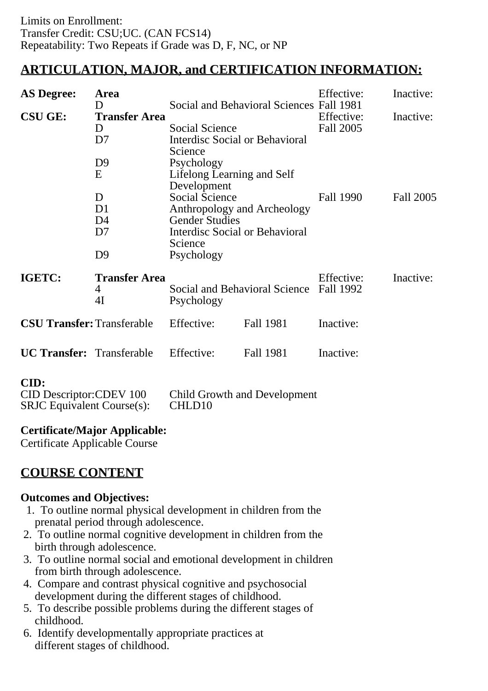# **ARTICULATION, MAJOR, and CERTIFICATION INFORMATION:**

| <b>AS Degree:</b>                 | Area                      |                                                      |                                          | Effective:              | Inactive: |
|-----------------------------------|---------------------------|------------------------------------------------------|------------------------------------------|-------------------------|-----------|
|                                   | D                         |                                                      | Social and Behavioral Sciences Fall 1981 |                         |           |
| <b>CSU GE:</b>                    | <b>Transfer Area</b>      |                                                      |                                          | Effective:              | Inactive: |
|                                   | D                         | Social Science                                       |                                          | Fall 2005               |           |
|                                   | D7                        | Interdisc Social or Behavioral<br>Science            |                                          |                         |           |
|                                   | D <sub>9</sub>            | Psychology                                           |                                          |                         |           |
|                                   | E                         | Lifelong Learning and Self<br>Development            |                                          |                         |           |
|                                   | D                         | <b>Social Science</b><br>Anthropology and Archeology |                                          | Fall 1990               | Fall 2005 |
|                                   | D <sub>1</sub>            |                                                      |                                          |                         |           |
|                                   | D4                        | <b>Gender Studies</b>                                |                                          |                         |           |
|                                   | D <sub>7</sub>            | Interdisc Social or Behavioral<br>Science            |                                          |                         |           |
|                                   | D <sub>9</sub>            | Psychology                                           |                                          |                         |           |
| IGETC:                            | <b>Transfer Area</b><br>4 | Social and Behavioral Science<br>Psychology          |                                          | Effective:<br>Fall 1992 | Inactive: |
|                                   | 4I                        |                                                      |                                          |                         |           |
| <b>CSU Transfer: Transferable</b> |                           | Effective:                                           | Fall 1981                                | Inactive:               |           |
| <b>UC Transfer:</b> Transferable  |                           | Effective:                                           | Fall 1981                                | Inactive:               |           |
| CID:                              |                           |                                                      |                                          |                         |           |

**CID:**

| <b>CID Descriptor: CDEV 100</b>  | <b>Child Growth and Development</b> |
|----------------------------------|-------------------------------------|
| $SRJC$ Equivalent Course $(s)$ : | CHLD <sub>10</sub>                  |

## **Certificate/Major Applicable:**

[Certificate Applicable Course](SR_ClassCheck.aspx?CourseKey=CHLD10)

# **COURSE CONTENT**

## **Outcomes and Objectives:**

- 1. To outline normal physical development in children from the prenatal period through adolescence.
- 2. To outline normal cognitive development in children from the birth through adolescence.
- 3. To outline normal social and emotional development in children from birth through adolescence.
- 4. Compare and contrast physical cognitive and psychosocial development during the different stages of childhood.
- 5. To describe possible problems during the different stages of childhood.
- 6. Identify developmentally appropriate practices at different stages of childhood.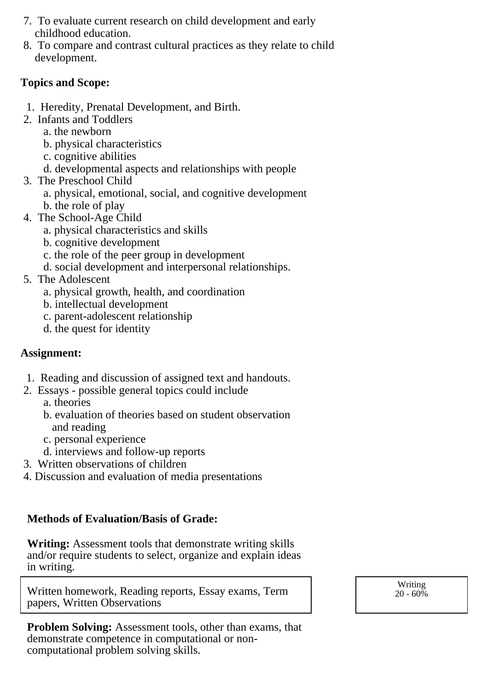- 7. To evaluate current research on child development and early childhood education.
- 8. To compare and contrast cultural practices as they relate to child development.

## **Topics and Scope:**

- 1. Heredity, Prenatal Development, and Birth.
- 2. Infants and Toddlers
	- a. the newborn
	- b. physical characteristics
	- c. cognitive abilities
	- d. developmental aspects and relationships with people
- 3. The Preschool Child
	- a. physical, emotional, social, and cognitive development
	- b. the role of play
- 4. The School-Age Child
	- a. physical characteristics and skills
	- b. cognitive development
	- c. the role of the peer group in development
	- d. social development and interpersonal relationships.
- 5. The Adolescent
	- a. physical growth, health, and coordination
	- b. intellectual development
	- c. parent-adolescent relationship
	- d. the quest for identity

# **Assignment:**

- 1. Reading and discussion of assigned text and handouts.
- 2. Essays possible general topics could include
	- a. theories
	- b. evaluation of theories based on student observation and reading
	- c. personal experience
	- d. interviews and follow-up reports
- 3. Written observations of children
- 4. Discussion and evaluation of media presentations

# **Methods of Evaluation/Basis of Grade:**

**Writing:** Assessment tools that demonstrate writing skills and/or require students to select, organize and explain ideas in writing.

Written homework, Reading reports, Essay exams, Term papers, Written Observations

**Problem Solving:** Assessment tools, other than exams, that demonstrate competence in computational or noncomputational problem solving skills.

Writing  $20 - 60\%$